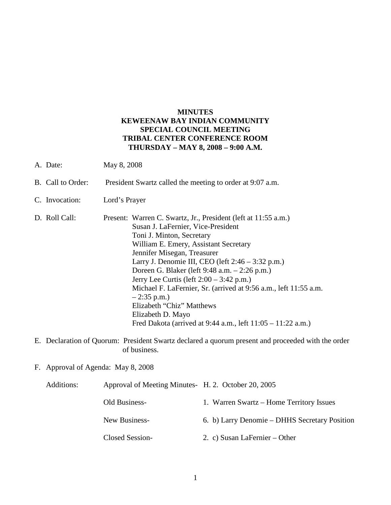# **MINUTES KEWEENAW BAY INDIAN COMMUNITY SPECIAL COUNCIL MEETING TRIBAL CENTER CONFERENCE ROOM THURSDAY – MAY 8, 2008 – 9:00 A.M.**

- A. Date: May 8, 2008
- B. Call to Order: President Swartz called the meeting to order at 9:07 a.m.
- C. Invocation: Lord's Prayer
- D. Roll Call: Present: Warren C. Swartz, Jr., President (left at 11:55 a.m.) Susan J. LaFernier, Vice-President Toni J. Minton, Secretary William E. Emery, Assistant Secretary Jennifer Misegan, Treasurer Larry J. Denomie III, CEO (left 2:46 – 3:32 p.m.) Doreen G. Blaker (left 9:48 a.m. – 2:26 p.m.) Jerry Lee Curtis (left 2:00 – 3:42 p.m.) Michael F. LaFernier, Sr. (arrived at 9:56 a.m., left 11:55 a.m.  $-2:35$  p.m.) Elizabeth "Chiz" Matthews Elizabeth D. Mayo Fred Dakota (arrived at 9:44 a.m., left 11:05 – 11:22 a.m.)
- E. Declaration of Quorum: President Swartz declared a quorum present and proceeded with the order of business.
- F. Approval of Agenda: May 8, 2008

| Additions: | Approval of Meeting Minutes H. 2. October 20, 2005 |                                               |
|------------|----------------------------------------------------|-----------------------------------------------|
|            | Old Business-                                      | 1. Warren Swartz – Home Territory Issues      |
|            | New Business-                                      | 6. b) Larry Denomie – DHHS Secretary Position |
|            | Closed Session-                                    | 2. c) Susan LaFernier $-$ Other               |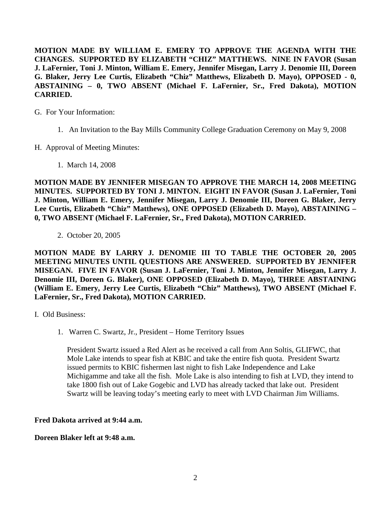**MOTION MADE BY WILLIAM E. EMERY TO APPROVE THE AGENDA WITH THE CHANGES. SUPPORTED BY ELIZABETH "CHIZ" MATTHEWS. NINE IN FAVOR (Susan J. LaFernier, Toni J. Minton, William E. Emery, Jennifer Misegan, Larry J. Denomie III, Doreen G. Blaker, Jerry Lee Curtis, Elizabeth "Chiz" Matthews, Elizabeth D. Mayo), OPPOSED - 0, ABSTAINING – 0, TWO ABSENT (Michael F. LaFernier, Sr., Fred Dakota), MOTION CARRIED.**

- G. For Your Information:
	- 1. An Invitation to the Bay Mills Community College Graduation Ceremony on May 9, 2008
- H. Approval of Meeting Minutes:
	- 1. March 14, 2008

**MOTION MADE BY JENNIFER MISEGAN TO APPROVE THE MARCH 14, 2008 MEETING MINUTES. SUPPORTED BY TONI J. MINTON. EIGHT IN FAVOR (Susan J. LaFernier, Toni J. Minton, William E. Emery, Jennifer Misegan, Larry J. Denomie III, Doreen G. Blaker, Jerry Lee Curtis, Elizabeth "Chiz" Matthews), ONE OPPOSED (Elizabeth D. Mayo), ABSTAINING – 0, TWO ABSENT (Michael F. LaFernier, Sr., Fred Dakota), MOTION CARRIED.**

2. October 20, 2005

**MOTION MADE BY LARRY J. DENOMIE III TO TABLE THE OCTOBER 20, 2005 MEETING MINUTES UNTIL QUESTIONS ARE ANSWERED. SUPPORTED BY JENNIFER MISEGAN. FIVE IN FAVOR (Susan J. LaFernier, Toni J. Minton, Jennifer Misegan, Larry J. Denomie III, Doreen G. Blaker), ONE OPPOSED (Elizabeth D. Mayo), THREE ABSTAINING (William E. Emery, Jerry Lee Curtis, Elizabeth "Chiz" Matthews), TWO ABSENT (Michael F. LaFernier, Sr., Fred Dakota), MOTION CARRIED.**

- I. Old Business:
	- 1. Warren C. Swartz, Jr., President Home Territory Issues

President Swartz issued a Red Alert as he received a call from Ann Soltis, GLIFWC, that Mole Lake intends to spear fish at KBIC and take the entire fish quota. President Swartz issued permits to KBIC fishermen last night to fish Lake Independence and Lake Michigamme and take all the fish. Mole Lake is also intending to fish at LVD, they intend to take 1800 fish out of Lake Gogebic and LVD has already tacked that lake out. President Swartz will be leaving today's meeting early to meet with LVD Chairman Jim Williams.

## **Fred Dakota arrived at 9:44 a.m.**

## **Doreen Blaker left at 9:48 a.m.**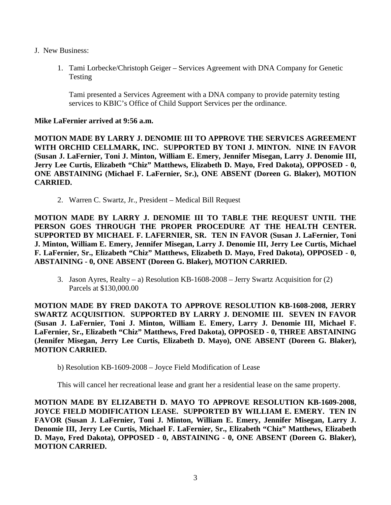- J. New Business:
	- 1. Tami Lorbecke/Christoph Geiger Services Agreement with DNA Company for Genetic Testing

Tami presented a Services Agreement with a DNA company to provide paternity testing services to KBIC's Office of Child Support Services per the ordinance.

## **Mike LaFernier arrived at 9:56 a.m.**

**MOTION MADE BY LARRY J. DENOMIE III TO APPROVE THE SERVICES AGREEMENT WITH ORCHID CELLMARK, INC. SUPPORTED BY TONI J. MINTON. NINE IN FAVOR (Susan J. LaFernier, Toni J. Minton, William E. Emery, Jennifer Misegan, Larry J. Denomie III, Jerry Lee Curtis, Elizabeth "Chiz" Matthews, Elizabeth D. Mayo, Fred Dakota), OPPOSED - 0, ONE ABSTAINING (Michael F. LaFernier, Sr.), ONE ABSENT (Doreen G. Blaker), MOTION CARRIED.**

2. Warren C. Swartz, Jr., President – Medical Bill Request

**MOTION MADE BY LARRY J. DENOMIE III TO TABLE THE REQUEST UNTIL THE PERSON GOES THROUGH THE PROPER PROCEDURE AT THE HEALTH CENTER. SUPPORTED BY MICHAEL F. LAFERNIER, SR. TEN IN FAVOR (Susan J. LaFernier, Toni J. Minton, William E. Emery, Jennifer Misegan, Larry J. Denomie III, Jerry Lee Curtis, Michael F. LaFernier, Sr., Elizabeth "Chiz" Matthews, Elizabeth D. Mayo, Fred Dakota), OPPOSED - 0, ABSTAINING - 0, ONE ABSENT (Doreen G. Blaker), MOTION CARRIED.**

3. Jason Ayres, Realty – a) Resolution KB-1608-2008 – Jerry Swartz Acquisition for (2) Parcels at \$130,000.00

**MOTION MADE BY FRED DAKOTA TO APPROVE RESOLUTION KB-1608-2008, JERRY SWARTZ ACQUISITION. SUPPORTED BY LARRY J. DENOMIE III. SEVEN IN FAVOR (Susan J. LaFernier, Toni J. Minton, William E. Emery, Larry J. Denomie III, Michael F. LaFernier, Sr., Elizabeth "Chiz" Matthews, Fred Dakota), OPPOSED - 0, THREE ABSTAINING (Jennifer Misegan, Jerry Lee Curtis, Elizabeth D. Mayo), ONE ABSENT (Doreen G. Blaker), MOTION CARRIED.**

b) Resolution KB-1609-2008 – Joyce Field Modification of Lease

This will cancel her recreational lease and grant her a residential lease on the same property.

**MOTION MADE BY ELIZABETH D. MAYO TO APPROVE RESOLUTION KB-1609-2008, JOYCE FIELD MODIFICATION LEASE. SUPPORTED BY WILLIAM E. EMERY. TEN IN FAVOR (Susan J. LaFernier, Toni J. Minton, William E. Emery, Jennifer Misegan, Larry J. Denomie III, Jerry Lee Curtis, Michael F. LaFernier, Sr., Elizabeth "Chiz" Matthews, Elizabeth D. Mayo, Fred Dakota), OPPOSED - 0, ABSTAINING - 0, ONE ABSENT (Doreen G. Blaker), MOTION CARRIED.**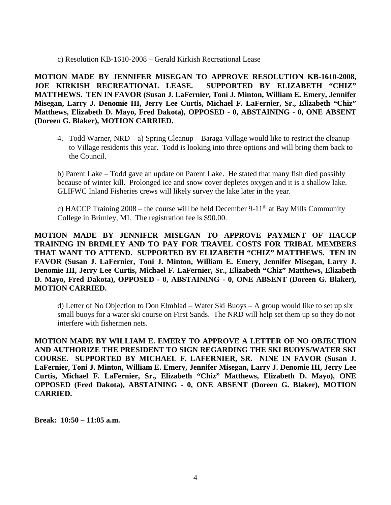c) Resolution KB-1610-2008 – Gerald Kirkish Recreational Lease

**MOTION MADE BY JENNIFER MISEGAN TO APPROVE RESOLUTION KB-1610-2008, JOE KIRKISH RECREATIONAL LEASE. SUPPORTED BY ELIZABETH "CHIZ" MATTHEWS. TEN IN FAVOR (Susan J. LaFernier, Toni J. Minton, William E. Emery, Jennifer Misegan, Larry J. Denomie III, Jerry Lee Curtis, Michael F. LaFernier, Sr., Elizabeth "Chiz" Matthews, Elizabeth D. Mayo, Fred Dakota), OPPOSED - 0, ABSTAINING - 0, ONE ABSENT (Doreen G. Blaker), MOTION CARRIED.**

4. Todd Warner, NRD – a) Spring Cleanup – Baraga Village would like to restrict the cleanup to Village residents this year. Todd is looking into three options and will bring them back to the Council.

b) Parent Lake – Todd gave an update on Parent Lake. He stated that many fish died possibly because of winter kill. Prolonged ice and snow cover depletes oxygen and it is a shallow lake. GLIFWC Inland Fisheries crews will likely survey the lake later in the year.

c) HACCP Training  $2008$  – the course will be held December 9-11<sup>th</sup> at Bay Mills Community College in Brimley, MI. The registration fee is \$90.00.

**MOTION MADE BY JENNIFER MISEGAN TO APPROVE PAYMENT OF HACCP TRAINING IN BRIMLEY AND TO PAY FOR TRAVEL COSTS FOR TRIBAL MEMBERS THAT WANT TO ATTEND. SUPPORTED BY ELIZABETH "CHIZ" MATTHEWS. TEN IN FAVOR (Susan J. LaFernier, Toni J. Minton, William E. Emery, Jennifer Misegan, Larry J. Denomie III, Jerry Lee Curtis, Michael F. LaFernier, Sr., Elizabeth "Chiz" Matthews, Elizabeth D. Mayo, Fred Dakota), OPPOSED - 0, ABSTAINING - 0, ONE ABSENT (Doreen G. Blaker), MOTION CARRIED.**

d) Letter of No Objection to Don Elmblad – Water Ski Buoys – A group would like to set up six small buoys for a water ski course on First Sands. The NRD will help set them up so they do not interfere with fishermen nets.

**MOTION MADE BY WILLIAM E. EMERY TO APPROVE A LETTER OF NO OBJECTION AND AUTHORIZE THE PRESIDENT TO SIGN REGARDING THE SKI BUOYS/WATER SKI COURSE. SUPPORTED BY MICHAEL F. LAFERNIER, SR. NINE IN FAVOR (Susan J. LaFernier, Toni J. Minton, William E. Emery, Jennifer Misegan, Larry J. Denomie III, Jerry Lee Curtis, Michael F. LaFernier, Sr., Elizabeth "Chiz" Matthews, Elizabeth D. Mayo), ONE OPPOSED (Fred Dakota), ABSTAINING - 0, ONE ABSENT (Doreen G. Blaker), MOTION CARRIED.**

**Break: 10:50 – 11:05 a.m.**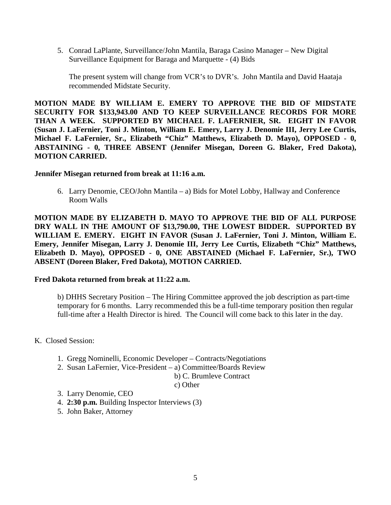5. Conrad LaPlante, Surveillance/John Mantila, Baraga Casino Manager – New Digital Surveillance Equipment for Baraga and Marquette - (4) Bids

The present system will change from VCR's to DVR's. John Mantila and David Haataja recommended Midstate Security.

**MOTION MADE BY WILLIAM E. EMERY TO APPROVE THE BID OF MIDSTATE SECURITY FOR \$133,943.00 AND TO KEEP SURVEILLANCE RECORDS FOR MORE THAN A WEEK. SUPPORTED BY MICHAEL F. LAFERNIER, SR. EIGHT IN FAVOR (Susan J. LaFernier, Toni J. Minton, William E. Emery, Larry J. Denomie III, Jerry Lee Curtis, Michael F. LaFernier, Sr., Elizabeth "Chiz" Matthews, Elizabeth D. Mayo), OPPOSED - 0, ABSTAINING - 0, THREE ABSENT (Jennifer Misegan, Doreen G. Blaker, Fred Dakota), MOTION CARRIED.**

## **Jennifer Misegan returned from break at 11:16 a.m.**

6. Larry Denomie, CEO/John Mantila – a) Bids for Motel Lobby, Hallway and Conference Room Walls

**MOTION MADE BY ELIZABETH D. MAYO TO APPROVE THE BID OF ALL PURPOSE DRY WALL IN THE AMOUNT OF \$13,790.00, THE LOWEST BIDDER. SUPPORTED BY WILLIAM E. EMERY. EIGHT IN FAVOR (Susan J. LaFernier, Toni J. Minton, William E. Emery, Jennifer Misegan, Larry J. Denomie III, Jerry Lee Curtis, Elizabeth "Chiz" Matthews, Elizabeth D. Mayo), OPPOSED - 0, ONE ABSTAINED (Michael F. LaFernier, Sr.), TWO ABSENT (Doreen Blaker, Fred Dakota), MOTION CARRIED.** 

#### **Fred Dakota returned from break at 11:22 a.m.**

b) DHHS Secretary Position – The Hiring Committee approved the job description as part-time temporary for 6 months. Larry recommended this be a full-time temporary position then regular full-time after a Health Director is hired. The Council will come back to this later in the day.

K. Closed Session:

- 1. Gregg Nominelli, Economic Developer Contracts/Negotiations
- 2. Susan LaFernier, Vice-President a) Committee/Boards Review

b) C. Brumleve Contract

c) Other

- 3. Larry Denomie, CEO
- 4. **2:30 p.m.** Building Inspector Interviews (3)
- 5. John Baker, Attorney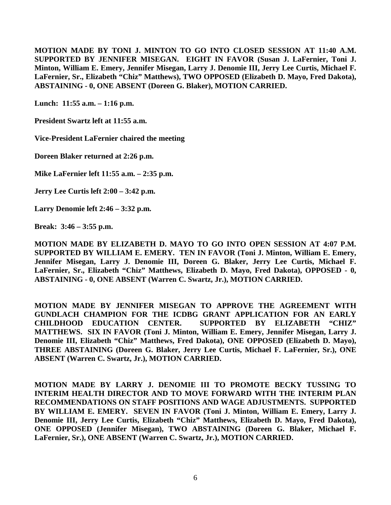**MOTION MADE BY TONI J. MINTON TO GO INTO CLOSED SESSION AT 11:40 A.M. SUPPORTED BY JENNIFER MISEGAN. EIGHT IN FAVOR (Susan J. LaFernier, Toni J. Minton, William E. Emery, Jennifer Misegan, Larry J. Denomie III, Jerry Lee Curtis, Michael F. LaFernier, Sr., Elizabeth "Chiz" Matthews), TWO OPPOSED (Elizabeth D. Mayo, Fred Dakota), ABSTAINING - 0, ONE ABSENT (Doreen G. Blaker), MOTION CARRIED.**

**Lunch: 11:55 a.m. – 1:16 p.m.**

**President Swartz left at 11:55 a.m.**

**Vice-President LaFernier chaired the meeting**

**Doreen Blaker returned at 2:26 p.m.**

**Mike LaFernier left 11:55 a.m. – 2:35 p.m.**

**Jerry Lee Curtis left 2:00 – 3:42 p.m.**

**Larry Denomie left 2:46 – 3:32 p.m.**

**Break: 3:46 – 3:55 p.m.**

**MOTION MADE BY ELIZABETH D. MAYO TO GO INTO OPEN SESSION AT 4:07 P.M. SUPPORTED BY WILLIAM E. EMERY. TEN IN FAVOR (Toni J. Minton, William E. Emery, Jennifer Misegan, Larry J. Denomie III, Doreen G. Blaker, Jerry Lee Curtis, Michael F. LaFernier, Sr., Elizabeth "Chiz" Matthews, Elizabeth D. Mayo, Fred Dakota), OPPOSED - 0, ABSTAINING - 0, ONE ABSENT (Warren C. Swartz, Jr.), MOTION CARRIED.**

**MOTION MADE BY JENNIFER MISEGAN TO APPROVE THE AGREEMENT WITH GUNDLACH CHAMPION FOR THE ICDBG GRANT APPLICATION FOR AN EARLY CHILDHOOD EDUCATION CENTER. SUPPORTED BY ELIZABETH "CHIZ" MATTHEWS. SIX IN FAVOR (Toni J. Minton, William E. Emery, Jennifer Misegan, Larry J. Denomie III, Elizabeth "Chiz" Matthews, Fred Dakota), ONE OPPOSED (Elizabeth D. Mayo), THREE ABSTAINING (Doreen G. Blaker, Jerry Lee Curtis, Michael F. LaFernier, Sr.), ONE ABSENT (Warren C. Swartz, Jr.), MOTION CARRIED.**

**MOTION MADE BY LARRY J. DENOMIE III TO PROMOTE BECKY TUSSING TO INTERIM HEALTH DIRECTOR AND TO MOVE FORWARD WITH THE INTERIM PLAN RECOMMENDATIONS ON STAFF POSITIONS AND WAGE ADJUSTMENTS. SUPPORTED BY WILLIAM E. EMERY. SEVEN IN FAVOR (Toni J. Minton, William E. Emery, Larry J. Denomie III, Jerry Lee Curtis, Elizabeth "Chiz" Matthews, Elizabeth D. Mayo, Fred Dakota), ONE OPPOSED (Jennifer Misegan), TWO ABSTAINING (Doreen G. Blaker, Michael F. LaFernier, Sr.), ONE ABSENT (Warren C. Swartz, Jr.), MOTION CARRIED.**